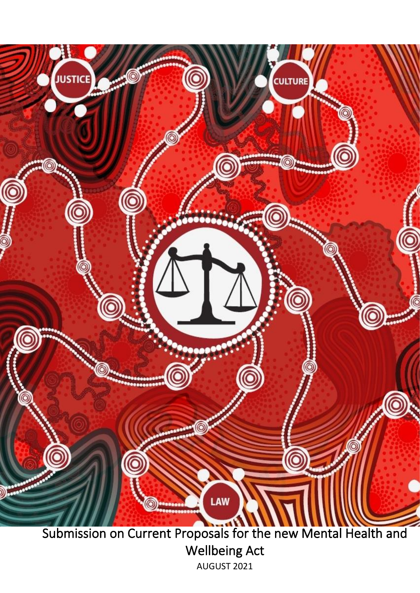

Wellbeing Act AUGUST 2021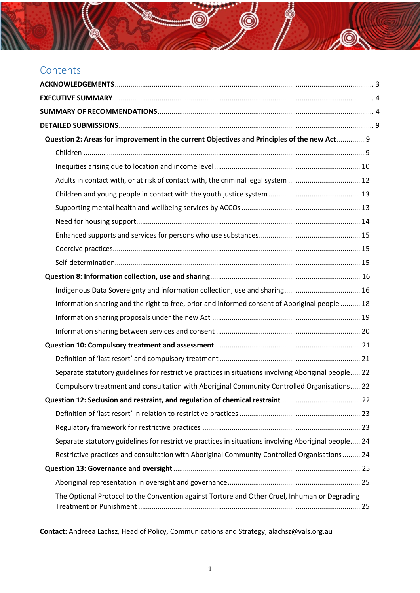# **Contents**

| Question 2: Areas for improvement in the current Objectives and Principles of the new Act 9          |
|------------------------------------------------------------------------------------------------------|
|                                                                                                      |
|                                                                                                      |
| Adults in contact with, or at risk of contact with, the criminal legal system  12                    |
|                                                                                                      |
|                                                                                                      |
|                                                                                                      |
|                                                                                                      |
|                                                                                                      |
|                                                                                                      |
|                                                                                                      |
|                                                                                                      |
| Information sharing and the right to free, prior and informed consent of Aboriginal people  18       |
|                                                                                                      |
|                                                                                                      |
|                                                                                                      |
|                                                                                                      |
| Separate statutory guidelines for restrictive practices in situations involving Aboriginal people 22 |
| Compulsory treatment and consultation with Aboriginal Community Controlled Organisations 22          |
| Question 12: Seclusion and restraint, and regulation of chemical restraint  22                       |
|                                                                                                      |
|                                                                                                      |
| Separate statutory guidelines for restrictive practices in situations involving Aboriginal people 24 |
| Restrictive practices and consultation with Aboriginal Community Controlled Organisations  24        |
|                                                                                                      |
|                                                                                                      |
| The Optional Protocol to the Convention against Torture and Other Cruel, Inhuman or Degrading        |

**SO** 

**Contact:** Andreea Lachsz, Head of Policy, Communications and Strategy, alachsz@vals.org.au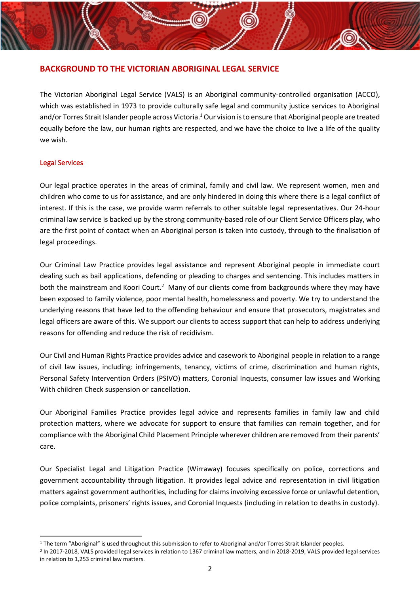# **BACKGROUND TO THE VICTORIAN ABORIGINAL LEGAL SERVICE**

The Victorian Aboriginal Legal Service (VALS) is an Aboriginal community-controlled organisation (ACCO), which was established in 1973 to provide culturally safe legal and community justice services to Aboriginal and/or Torres Strait Islander people across Victoria.<sup>1</sup> Our vision is to ensure that Aboriginal people are treated equally before the law, our human rights are respected, and we have the choice to live a life of the quality we wish.

### Legal Services

Our legal practice operates in the areas of criminal, family and civil law. We represent women, men and children who come to us for assistance, and are only hindered in doing this where there is a legal conflict of interest. If this is the case, we provide warm referrals to other suitable legal representatives. Our 24-hour criminal law service is backed up by the strong community-based role of our Client Service Officers play, who are the first point of contact when an Aboriginal person is taken into custody, through to the finalisation of legal proceedings.

Our Criminal Law Practice provides legal assistance and represent Aboriginal people in immediate court dealing such as bail applications, defending or pleading to charges and sentencing. This includes matters in both the mainstream and Koori Court.<sup>2</sup> Many of our clients come from backgrounds where they may have been exposed to family violence, poor mental health, homelessness and poverty. We try to understand the underlying reasons that have led to the offending behaviour and ensure that prosecutors, magistrates and legal officers are aware of this. We support our clients to access support that can help to address underlying reasons for offending and reduce the risk of recidivism.

Our Civil and Human Rights Practice provides advice and casework to Aboriginal people in relation to a range of civil law issues, including: infringements, tenancy, victims of crime, discrimination and human rights, Personal Safety Intervention Orders (PSIVO) matters, Coronial Inquests, consumer law issues and Working With children Check suspension or cancellation.

Our Aboriginal Families Practice provides legal advice and represents families in family law and child protection matters, where we advocate for support to ensure that families can remain together, and for compliance with the Aboriginal Child Placement Principle wherever children are removed from their parents' care.

Our Specialist Legal and Litigation Practice (Wirraway) focuses specifically on police, corrections and government accountability through litigation. It provides legal advice and representation in civil litigation matters against government authorities, including for claims involving excessive force or unlawful detention, police complaints, prisoners' rights issues, and Coronial Inquests (including in relation to deaths in custody).

<sup>&</sup>lt;sup>1</sup> The term "Aboriginal" is used throughout this submission to refer to Aboriginal and/or Torres Strait Islander peoples.

<sup>2</sup> In 2017-2018, VALS provided legal services in relation to 1367 criminal law matters, and in 2018-2019, VALS provided legal services in relation to 1,253 criminal law matters.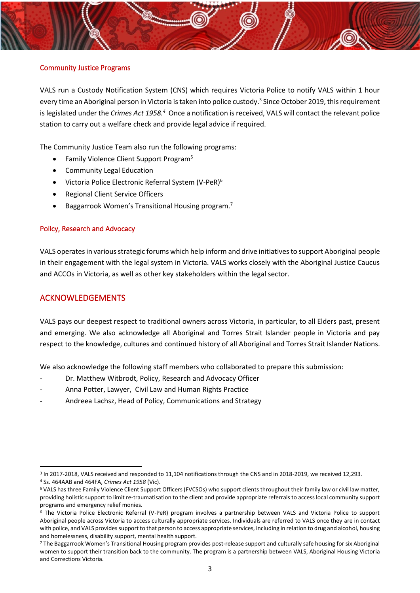### Community Justice Programs

VALS run a Custody Notification System (CNS) which requires Victoria Police to notify VALS within 1 hour every time an Aboriginal person in Victoria is taken into police custody.<sup>3</sup> Since October 2019, this requirement is legislated under the *Crimes Act 1958.<sup>4</sup>* Once a notification is received, VALS will contact the relevant police station to carry out a welfare check and provide legal advice if required.

The Community Justice Team also run the following programs:

- Family Violence Client Support Program<sup>5</sup>
- Community Legal Education
- Victoria Police Electronic Referral System (V-PeR)<sup>6</sup>
- Regional Client Service Officers
- Baggarrook Women's Transitional Housing program.<sup>7</sup>

### Policy, Research and Advocacy

VALS operates in various strategic forums which help inform and drive initiatives to support Aboriginal people in their engagement with the legal system in Victoria. VALS works closely with the Aboriginal Justice Caucus and ACCOs in Victoria, as well as other key stakeholders within the legal sector.

# <span id="page-3-0"></span>ACKNOWLEDGEMENTS

VALS pays our deepest respect to traditional owners across Victoria, in particular, to all Elders past, present and emerging. We also acknowledge all Aboriginal and Torres Strait Islander people in Victoria and pay respect to the knowledge, cultures and continued history of all Aboriginal and Torres Strait Islander Nations.

We also acknowledge the following staff members who collaborated to prepare this submission:

- Dr. Matthew Witbrodt, Policy, Research and Advocacy Officer
- Anna Potter, Lawyer, Civil Law and Human Rights Practice
- Andreea Lachsz, Head of Policy, Communications and Strategy

<sup>&</sup>lt;sup>3</sup> In 2017-2018, VALS received and responded to 11,104 notifications through the CNS and in 2018-2019, we received 12,293. <sup>4</sup> Ss. 464AAB and 464FA, *Crimes Act 1958* (Vic).

<sup>5</sup> VALS has three Family Violence Client Support Officers (FVCSOs) who support clients throughout their family law or civil law matter, providing holistic support to limit re-traumatisation to the client and provide appropriate referrals to access local community support programs and emergency relief monies.

<sup>6</sup> The Victoria Police Electronic Referral (V-PeR) program involves a partnership between VALS and Victoria Police to support Aboriginal people across Victoria to access culturally appropriate services. Individuals are referred to VALS once they are in contact with police, and VALS provides support to that person to access appropriate services, including in relation to drug and alcohol, housing and homelessness, disability support, mental health support.

<sup>7</sup> The Baggarrook Women's Transitional Housing program provides post-release support and culturally safe housing for six Aboriginal women to support their transition back to the community. The program is a partnership between VALS, Aboriginal Housing Victoria and Corrections Victoria.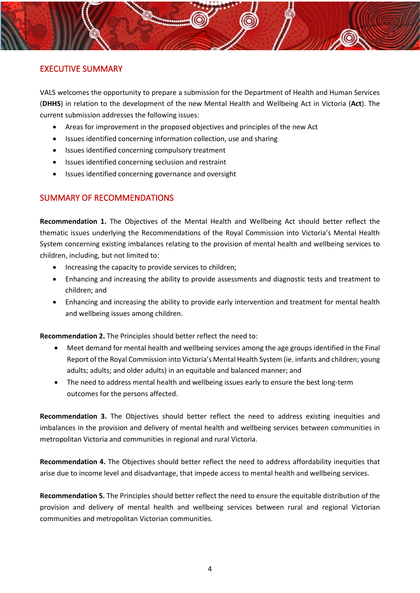# <span id="page-4-0"></span>EXECUTIVE SUMMARY

VALS welcomes the opportunity to prepare a submission for the Department of Health and Human Services (**DHHS**) in relation to the development of the new Mental Health and Wellbeing Act in Victoria (**Act**). The current submission addresses the following issues:

- Areas for improvement in the proposed objectives and principles of the new Act
- Issues identified concerning information collection, use and sharing
- Issues identified concerning compulsory treatment
- Issues identified concerning seclusion and restraint
- Issues identified concerning governance and oversight

# <span id="page-4-1"></span>SUMMARY OF RECOMMENDATIONS

**Recommendation 1.** The Objectives of the Mental Health and Wellbeing Act should better reflect the thematic issues underlying the Recommendations of the Royal Commission into Victoria's Mental Health System concerning existing imbalances relating to the provision of mental health and wellbeing services to children, including, but not limited to:

- Increasing the capacity to provide services to children;
- Enhancing and increasing the ability to provide assessments and diagnostic tests and treatment to children; and
- Enhancing and increasing the ability to provide early intervention and treatment for mental health and wellbeing issues among children.

**Recommendation 2.** The Principles should better reflect the need to:

- Meet demand for mental health and wellbeing services among the age groups identified in the Final Report of the Royal Commission into Victoria's Mental Health System (ie. infants and children; young adults; adults; and older adults) in an equitable and balanced manner; and
- The need to address mental health and wellbeing issues early to ensure the best long-term outcomes for the persons affected.

**Recommendation 3.** The Objectives should better reflect the need to address existing inequities and imbalances in the provision and delivery of mental health and wellbeing services between communities in metropolitan Victoria and communities in regional and rural Victoria.

**Recommendation 4.** The Objectives should better reflect the need to address affordability inequities that arise due to income level and disadvantage, that impede access to mental health and wellbeing services.

**Recommendation 5.** The Principles should better reflect the need to ensure the equitable distribution of the provision and delivery of mental health and wellbeing services between rural and regional Victorian communities and metropolitan Victorian communities.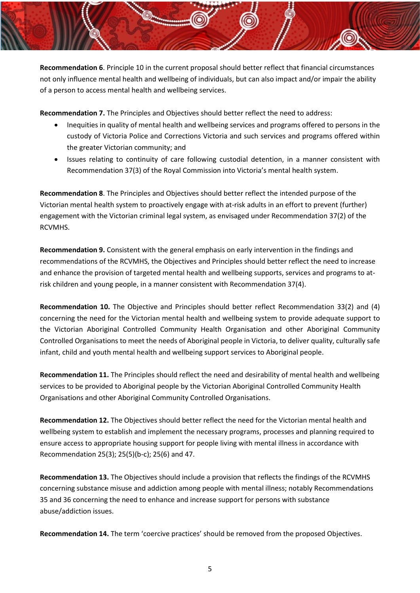**Recommendation 6**. Principle 10 in the current proposal should better reflect that financial circumstances not only influence mental health and wellbeing of individuals, but can also impact and/or impair the ability of a person to access mental health and wellbeing services.

**Recommendation 7.** The Principles and Objectives should better reflect the need to address:

- Inequities in quality of mental health and wellbeing services and programs offered to persons in the custody of Victoria Police and Corrections Victoria and such services and programs offered within the greater Victorian community; and
- Issues relating to continuity of care following custodial detention, in a manner consistent with Recommendation 37(3) of the Royal Commission into Victoria's mental health system.

**Recommendation 8**. The Principles and Objectives should better reflect the intended purpose of the Victorian mental health system to proactively engage with at-risk adults in an effort to prevent (further) engagement with the Victorian criminal legal system, as envisaged under Recommendation 37(2) of the RCVMHS.

**Recommendation 9.** Consistent with the general emphasis on early intervention in the findings and recommendations of the RCVMHS, the Objectives and Principles should better reflect the need to increase and enhance the provision of targeted mental health and wellbeing supports, services and programs to atrisk children and young people, in a manner consistent with Recommendation 37(4).

**Recommendation 10.** The Objective and Principles should better reflect Recommendation 33(2) and (4) concerning the need for the Victorian mental health and wellbeing system to provide adequate support to the Victorian Aboriginal Controlled Community Health Organisation and other Aboriginal Community Controlled Organisations to meet the needs of Aboriginal people in Victoria, to deliver quality, culturally safe infant, child and youth mental health and wellbeing support services to Aboriginal people.

**Recommendation 11.** The Principles should reflect the need and desirability of mental health and wellbeing services to be provided to Aboriginal people by the Victorian Aboriginal Controlled Community Health Organisations and other Aboriginal Community Controlled Organisations.

**Recommendation 12.** The Objectives should better reflect the need for the Victorian mental health and wellbeing system to establish and implement the necessary programs, processes and planning required to ensure access to appropriate housing support for people living with mental illness in accordance with Recommendation 25(3); 25(5)(b-c); 25(6) and 47.

**Recommendation 13.** The Objectives should include a provision that reflects the findings of the RCVMHS concerning substance misuse and addiction among people with mental illness; notably Recommendations 35 and 36 concerning the need to enhance and increase support for persons with substance abuse/addiction issues.

**Recommendation 14.** The term 'coercive practices' should be removed from the proposed Objectives.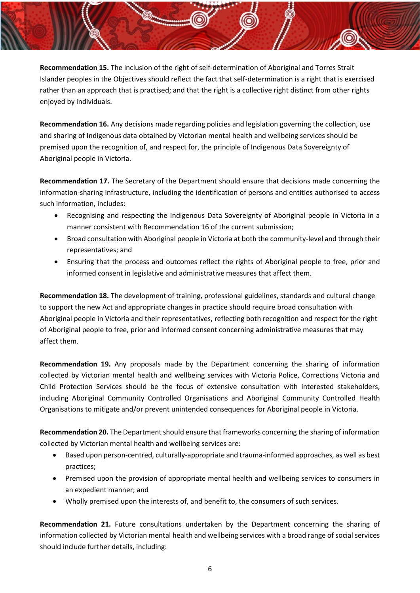**Recommendation 15.** The inclusion of the right of self-determination of Aboriginal and Torres Strait Islander peoples in the Objectives should reflect the fact that self-determination is a right that is exercised rather than an approach that is practised; and that the right is a collective right distinct from other rights enjoyed by individuals.

**Recommendation 16.** Any decisions made regarding policies and legislation governing the collection, use and sharing of Indigenous data obtained by Victorian mental health and wellbeing services should be premised upon the recognition of, and respect for, the principle of Indigenous Data Sovereignty of Aboriginal people in Victoria.

**Recommendation 17.** The Secretary of the Department should ensure that decisions made concerning the information-sharing infrastructure, including the identification of persons and entities authorised to access such information, includes:

- Recognising and respecting the Indigenous Data Sovereignty of Aboriginal people in Victoria in a manner consistent with Recommendation 16 of the current submission;
- Broad consultation with Aboriginal people in Victoria at both the community-level and through their representatives; and
- Ensuring that the process and outcomes reflect the rights of Aboriginal people to free, prior and informed consent in legislative and administrative measures that affect them.

**Recommendation 18.** The development of training, professional guidelines, standards and cultural change to support the new Act and appropriate changes in practice should require broad consultation with Aboriginal people in Victoria and their representatives, reflecting both recognition and respect for the right of Aboriginal people to free, prior and informed consent concerning administrative measures that may affect them.

**Recommendation 19.** Any proposals made by the Department concerning the sharing of information collected by Victorian mental health and wellbeing services with Victoria Police, Corrections Victoria and Child Protection Services should be the focus of extensive consultation with interested stakeholders, including Aboriginal Community Controlled Organisations and Aboriginal Community Controlled Health Organisations to mitigate and/or prevent unintended consequences for Aboriginal people in Victoria.

**Recommendation 20.** The Department should ensure that frameworks concerning the sharing of information collected by Victorian mental health and wellbeing services are:

- Based upon person-centred, culturally-appropriate and trauma-informed approaches, as well as best practices;
- Premised upon the provision of appropriate mental health and wellbeing services to consumers in an expedient manner; and
- Wholly premised upon the interests of, and benefit to, the consumers of such services.

**Recommendation 21.** Future consultations undertaken by the Department concerning the sharing of information collected by Victorian mental health and wellbeing services with a broad range of social services should include further details, including: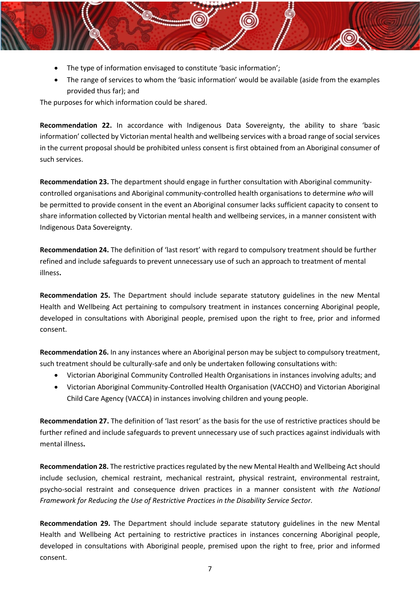- The type of information envisaged to constitute 'basic information';
- The range of services to whom the 'basic information' would be available (aside from the examples provided thus far); and

The purposes for which information could be shared.

**Recommendation 22.** In accordance with Indigenous Data Sovereignty, the ability to share 'basic information' collected by Victorian mental health and wellbeing services with a broad range of social services in the current proposal should be prohibited unless consent is first obtained from an Aboriginal consumer of such services.

**Recommendation 23.** The department should engage in further consultation with Aboriginal communitycontrolled organisations and Aboriginal community-controlled health organisations to determine *who* will be permitted to provide consent in the event an Aboriginal consumer lacks sufficient capacity to consent to share information collected by Victorian mental health and wellbeing services, in a manner consistent with Indigenous Data Sovereignty.

**Recommendation 24.** The definition of 'last resort' with regard to compulsory treatment should be further refined and include safeguards to prevent unnecessary use of such an approach to treatment of mental illness**.**

**Recommendation 25.** The Department should include separate statutory guidelines in the new Mental Health and Wellbeing Act pertaining to compulsory treatment in instances concerning Aboriginal people, developed in consultations with Aboriginal people, premised upon the right to free, prior and informed consent.

**Recommendation 26.** In any instances where an Aboriginal person may be subject to compulsory treatment, such treatment should be culturally-safe and only be undertaken following consultations with:

- Victorian Aboriginal Community Controlled Health Organisations in instances involving adults; and
- Victorian Aboriginal Community-Controlled Health Organisation (VACCHO) and Victorian Aboriginal Child Care Agency (VACCA) in instances involving children and young people.

**Recommendation 27.** The definition of 'last resort' as the basis for the use of restrictive practices should be further refined and include safeguards to prevent unnecessary use of such practices against individuals with mental illness**.**

**Recommendation 28.** The restrictive practices regulated by the new Mental Health and Wellbeing Act should include seclusion, chemical restraint, mechanical restraint, physical restraint, environmental restraint, psycho-social restraint and consequence driven practices in a manner consistent with *the National Framework for Reducing the Use of Restrictive Practices in the Disability Service Sector.*

**Recommendation 29.** The Department should include separate statutory guidelines in the new Mental Health and Wellbeing Act pertaining to restrictive practices in instances concerning Aboriginal people, developed in consultations with Aboriginal people, premised upon the right to free, prior and informed consent.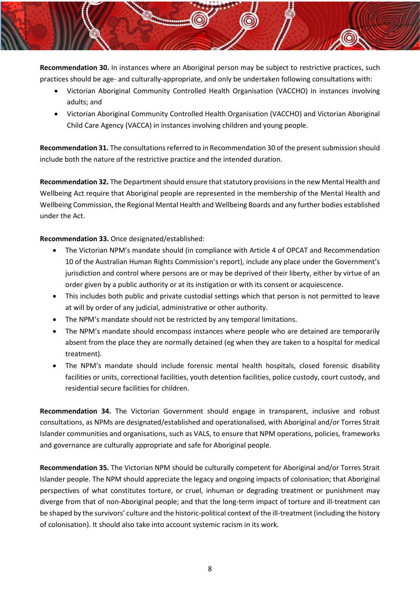**Recommendation 30.** In instances where an Aboriginal person may be subject to restrictive practices, such practices should be age- and culturally-appropriate, and only be undertaken following consultations with:

- Victorian Aboriginal Community Controlled Health Organisation (VACCHO) in instances involving adults; and
- Victorian Aboriginal Community Controlled Health Organisation (VACCHO) and Victorian Aboriginal Child Care Agency (VACCA) in instances involving children and young people.

**Recommendation 31.** The consultations referred to in Recommendation 30 of the present submission should include both the nature of the restrictive practice and the intended duration.

**Recommendation 32.** The Department should ensure that statutory provisions in the new Mental Health and Wellbeing Act require that Aboriginal people are represented in the membership of the Mental Health and Wellbeing Commission, the Regional Mental Health and Wellbeing Boards and any further bodies established under the Act.

**Recommendation 33.** Once designated/established:

- The Victorian NPM's mandate should (in compliance with Article 4 of OPCAT and Recommendation 10 of the Australian Human Rights Commission's report), include any place under the Government's jurisdiction and control where persons are or may be deprived of their liberty, either by virtue of an order given by a public authority or at its instigation or with its consent or acquiescence.
- This includes both public and private custodial settings which that person is not permitted to leave at will by order of any judicial, administrative or other authority.
- The NPM's mandate should not be restricted by any temporal limitations.
- The NPM's mandate should encompass instances where people who are detained are temporarily absent from the place they are normally detained (eg when they are taken to a hospital for medical treatment).
- The NPM's mandate should include forensic mental health hospitals, closed forensic disability facilities or units, correctional facilities, youth detention facilities, police custody, court custody, and residential secure facilities for children.

**Recommendation 34.** The Victorian Government should engage in transparent, inclusive and robust consultations, as NPMs are designated/established and operationalised, with Aboriginal and/or Torres Strait Islander communities and organisations, such as VALS, to ensure that NPM operations, policies, frameworks and governance are culturally appropriate and safe for Aboriginal people.

**Recommendation 35.** The Victorian NPM should be culturally competent for Aboriginal and/or Torres Strait Islander people. The NPM should appreciate the legacy and ongoing impacts of colonisation; that Aboriginal perspectives of what constitutes torture, or cruel, inhuman or degrading treatment or punishment may diverge from that of non-Aboriginal people; and that the long-term impact of torture and ill-treatment can be shaped by the survivors' culture and the historic-political context of the ill-treatment (including the history of colonisation). It should also take into account systemic racism in its work.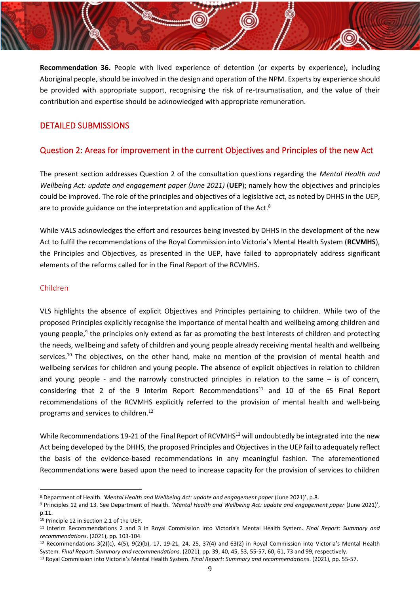**Recommendation 36.** People with lived experience of detention (or experts by experience), including Aboriginal people, should be involved in the design and operation of the NPM. Experts by experience should be provided with appropriate support, recognising the risk of re-traumatisation, and the value of their contribution and expertise should be acknowledged with appropriate remuneration.

### <span id="page-9-0"></span>DETAILED SUBMISSIONS

### <span id="page-9-1"></span>Question 2: Areas for improvement in the current Objectives and Principles of the new Act

The present section addresses Question 2 of the consultation questions regarding the *Mental Health and Wellbeing Act: update and engagement paper (June 2021)* (**UEP**); namely how the objectives and principles could be improved. The role of the principles and objectives of a legislative act, as noted by DHHS in the UEP, are to provide guidance on the interpretation and application of the Act.<sup>8</sup>

While VALS acknowledges the effort and resources being invested by DHHS in the development of the new Act to fulfil the recommendations of the Royal Commission into Victoria's Mental Health System (**RCVMHS**), the Principles and Objectives, as presented in the UEP, have failed to appropriately address significant elements of the reforms called for in the Final Report of the RCVMHS.

#### <span id="page-9-2"></span>Children

VLS highlights the absence of explicit Objectives and Principles pertaining to children. While two of the proposed Principles explicitly recognise the importance of mental health and wellbeing among children and young people,<sup>9</sup> the principles only extend as far as promoting the best interests of children and protecting the needs, wellbeing and safety of children and young people already receiving mental health and wellbeing services.<sup>10</sup> The objectives, on the other hand, make no mention of the provision of mental health and wellbeing services for children and young people. The absence of explicit objectives in relation to children and young people - and the narrowly constructed principles in relation to the same – is of concern, considering that 2 of the 9 Interim Report Recommendations<sup>11</sup> and 10 of the 65 Final Report recommendations of the RCVMHS explicitly referred to the provision of mental health and well-being programs and services to children.<sup>12</sup>

While Recommendations 19-21 of the Final Report of RCVMHS<sup>13</sup> will undoubtedly be integrated into the new Act being developed by the DHHS, the proposed Principles and Objectives in the UEP fail to adequately reflect the basis of the evidence-based recommendations in any meaningful fashion. The aforementioned Recommendations were based upon the need to increase capacity for the provision of services to children

<sup>8</sup> Department of Health. *'Mental Health and Wellbeing Act: update and engagement paper* (June 2021)', p.8.

<sup>9</sup> Principles 12 and 13. See Department of Health. *'Mental Health and Wellbeing Act: update and engagement paper* (June 2021)', p.11.

<sup>10</sup> Principle 12 in Section 2.1 of the UEP.

<sup>11</sup> Interim Recommendations 2 and 3 in Royal Commission into Victoria's Mental Health System. *Final Report: Summary and recommendations*. (2021), pp. 103-104.

 $12$  Recommendations 3(2)(c), 4(5), 9(2)(b), 17, 19-21, 24, 25, 37(4) and 63(2) in Royal Commission into Victoria's Mental Health System. *Final Report: Summary and recommendations*. (2021), pp. 39, 40, 45, 53, 55-57, 60, 61, 73 and 99, respectively.

<sup>13</sup> Royal Commission into Victoria's Mental Health System. *Final Report: Summary and recommendations*. (2021), pp. 55-57.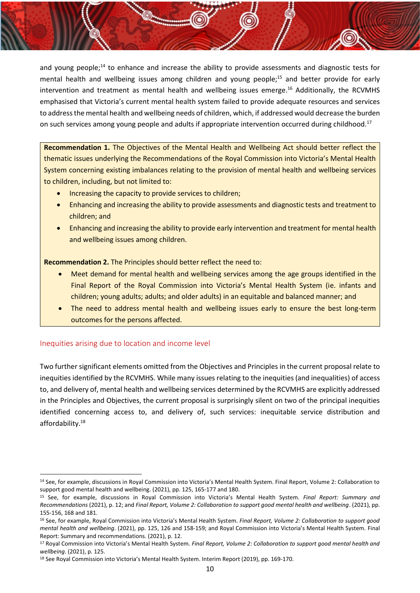and young people;<sup>14</sup> to enhance and increase the ability to provide assessments and diagnostic tests for mental health and wellbeing issues among children and young people;<sup>15</sup> and better provide for early intervention and treatment as mental health and wellbeing issues emerge. <sup>16</sup> Additionally, the RCVMHS emphasised that Victoria's current mental health system failed to provide adequate resources and services to address the mental health and wellbeing needs of children, which, if addressed would decrease the burden on such services among young people and adults if appropriate intervention occurred during childhood.<sup>17</sup>

**Recommendation 1.** The Objectives of the Mental Health and Wellbeing Act should better reflect the thematic issues underlying the Recommendations of the Royal Commission into Victoria's Mental Health System concerning existing imbalances relating to the provision of mental health and wellbeing services to children, including, but not limited to:

- Increasing the capacity to provide services to children;
- Enhancing and increasing the ability to provide assessments and diagnostic tests and treatment to children; and
- Enhancing and increasing the ability to provide early intervention and treatment for mental health and wellbeing issues among children.

**Recommendation 2.** The Principles should better reflect the need to:

- Meet demand for mental health and wellbeing services among the age groups identified in the Final Report of the Royal Commission into Victoria's Mental Health System (ie. infants and children; young adults; adults; and older adults) in an equitable and balanced manner; and
- The need to address mental health and wellbeing issues early to ensure the best long-term outcomes for the persons affected.

### <span id="page-10-0"></span>Inequities arising due to location and income level

Two further significant elements omitted from the Objectives and Principles in the current proposal relate to inequities identified by the RCVMHS. While many issues relating to the inequities (and inequalities) of access to, and delivery of, mental health and wellbeing services determined by the RCVMHS are explicitly addressed in the Principles and Objectives, the current proposal is surprisingly silent on two of the principal inequities identified concerning access to, and delivery of, such services: inequitable service distribution and affordability.<sup>18</sup>

<sup>14</sup> See, for example, discussions in Royal Commission into Victoria's Mental Health System. Final Report, Volume 2: Collaboration to support good mental health and wellbeing. (2021), pp. 125, 165-177 and 180.

<sup>15</sup> See, for example, discussions in Royal Commission into Victoria's Mental Health System. *Final Report: Summary and Recommendations* (2021), p. 12; and *Final Report, Volume 2: Collaboration to support good mental health and wellbeing*. (2021), pp. 155-156, 168 and 181.

<sup>16</sup> See, for example, Royal Commission into Victoria's Mental Health System. *Final Report, Volume 2: Collaboration to support good mental health and wellbeing*. (2021), pp. 125, 126 and 158-159; and Royal Commission into Victoria's Mental Health System. Final Report: Summary and recommendations. (2021), p. 12.

<sup>17</sup> Royal Commission into Victoria's Mental Health System*. Final Report, Volume 2: Collaboration to support good mental health and wellbeing*. (2021), p. 125.

<sup>&</sup>lt;sup>18</sup> See Royal Commission into Victoria's Mental Health System. Interim Report (2019), pp. 169-170.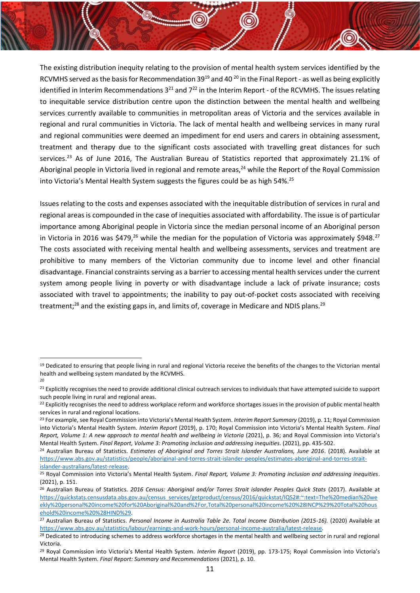The existing distribution inequity relating to the provision of mental health system services identified by the RCVMHS served as the basis for Recommendation 39<sup>19</sup> and 40 <sup>20</sup> in the Final Report - as well as being explicitly identified in Interim Recommendations  $3^{21}$  and  $7^{22}$  in the Interim Report - of the RCVMHS. The issues relating to inequitable service distribution centre upon the distinction between the mental health and wellbeing services currently available to communities in metropolitan areas of Victoria and the services available in regional and rural communities in Victoria. The lack of mental health and wellbeing services in many rural and regional communities were deemed an impediment for end users and carers in obtaining assessment, treatment and therapy due to the significant costs associated with travelling great distances for such services.<sup>23</sup> As of June 2016, The Australian Bureau of Statistics reported that approximately 21.1% of Aboriginal people in Victoria lived in regional and remote areas,  $24$  while the Report of the Royal Commission into Victoria's Mental Health System suggests the figures could be as high 54%.<sup>25</sup>

Issues relating to the costs and expenses associated with the inequitable distribution of services in rural and regional areas is compounded in the case of inequities associated with affordability. The issue is of particular importance among Aboriginal people in Victoria since the median personal income of an Aboriginal person in Victoria in 2016 was  $$479<sup>26</sup>$  while the median for the population of Victoria was approximately  $$948<sup>27</sup>$ The costs associated with receiving mental health and wellbeing assessments, services and treatment are prohibitive to many members of the Victorian community due to income level and other financial disadvantage. Financial constraints serving as a barrier to accessing mental health services under the current system among people living in poverty or with disadvantage include a lack of private insurance; costs associated with travel to appointments; the inability to pay out-of-pocket costs associated with receiving treatment;<sup>28</sup> and the existing gaps in, and limits of, coverage in Medicare and NDIS plans.<sup>29</sup>

<sup>19</sup> Dedicated to ensuring that people living in rural and regional Victoria receive the benefits of the changes to the Victorian mental health and wellbeing system mandated by the RCVMHS. 20

<sup>&</sup>lt;sup>21</sup> Explicitly recognises the need to provide additional clinical outreach services to individuals that have attempted suicide to support such people living in rural and regional areas.

<sup>&</sup>lt;sup>22</sup> Explicitly recognises the need to address workplace reform and workforce shortages issues in the provision of public mental health services in rural and regional locations.

<sup>23</sup> For example, see Royal Commission into Victoria's Mental Health System. *Interim Report Summary* (2019), p. 11; Royal Commission into Victoria's Mental Health System. *Interim Report* (2019), p. 170; Royal Commission into Victoria's Mental Health System. *Final Report, Volume 1: A new approach to mental health and wellbeing in Victoria* (2021), p. 36; and Royal Commission into Victoria's Mental Health System. *Final Report, Volume 3: Promoting inclusion and addressing inequities*. (2021), pp. 435-502.

<sup>24</sup> Australian Bureau of Statistics. *Estimates of Aboriginal and Torres Strait Islander Australians, June 2016*. (2018). Available at [https://www.abs.gov.au/statistics/people/aboriginal-and-torres-strait-islander-peoples/estimates-aboriginal-and-torres-strait](https://www.abs.gov.au/statistics/people/aboriginal-and-torres-strait-islander-peoples/estimates-aboriginal-and-torres-strait-islander-australians/latest-release)[islander-australians/latest-release.](https://www.abs.gov.au/statistics/people/aboriginal-and-torres-strait-islander-peoples/estimates-aboriginal-and-torres-strait-islander-australians/latest-release)

<sup>25</sup> Royal Commission into Victoria's Mental Health System. *Final Report, Volume 3: Promoting inclusion and addressing inequities*. (2021), p. 151.

<sup>26</sup> Australian Bureau of Statistics. *2016 Census: Aboriginal and/or Torres Strait islander Peoples Quick Stats* (2017). Available at [https://quickstats.censusdata.abs.gov.au/census\\_services/getproduct/census/2016/quickstat/IQS2#:~:text=The%20median%20we](https://quickstats.censusdata.abs.gov.au/census_services/getproduct/census/2016/quickstat/IQS2%23:~:text=The%20median%20weekly%20personal%20income%20for%20Aboriginal%20and%2For,Total%20personal%20income%20%28INCP%29%20Total%20household%20income%20%28HIND%29) [ekly%20personal%20income%20for%20Aboriginal%20and%2For,Total%20personal%20income%20%28INCP%29%20Total%20hous](https://quickstats.censusdata.abs.gov.au/census_services/getproduct/census/2016/quickstat/IQS2%23:~:text=The%20median%20weekly%20personal%20income%20for%20Aboriginal%20and%2For,Total%20personal%20income%20%28INCP%29%20Total%20household%20income%20%28HIND%29) [ehold%20income%20%28HIND%29.](https://quickstats.censusdata.abs.gov.au/census_services/getproduct/census/2016/quickstat/IQS2%23:~:text=The%20median%20weekly%20personal%20income%20for%20Aboriginal%20and%2For,Total%20personal%20income%20%28INCP%29%20Total%20household%20income%20%28HIND%29)

<sup>27</sup> Australian Bureau of Statistics. *Personal Income in Australia Table 2e. Total Income Distribution (2015-16).* (2020) Available at [https://www.abs.gov.au/statistics/labour/earnings-and-work-hours/personal-income-australia/latest-release.](https://www.abs.gov.au/statistics/labour/earnings-and-work-hours/personal-income-australia/latest-release)

<sup>&</sup>lt;sup>28</sup> Dedicated to introducing schemes to address workforce shortages in the mental health and wellbeing sector in rural and regional Victoria.

<sup>29</sup> Royal Commission into Victoria's Mental Health System. *Interim Report* (2019), pp. 173-175; Royal Commission into Victoria's Mental Health System. *Final Report: Summary and Recommendations* (2021), p. 10.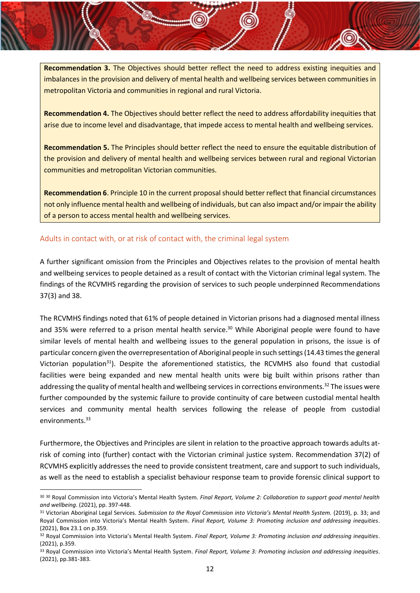**Recommendation 3.** The Objectives should better reflect the need to address existing inequities and imbalances in the provision and delivery of mental health and wellbeing services between communities in metropolitan Victoria and communities in regional and rural Victoria.

**Recommendation 4.** The Objectives should better reflect the need to address affordability inequities that arise due to income level and disadvantage, that impede access to mental health and wellbeing services.

**Recommendation 5.** The Principles should better reflect the need to ensure the equitable distribution of the provision and delivery of mental health and wellbeing services between rural and regional Victorian communities and metropolitan Victorian communities.

**Recommendation 6**. Principle 10 in the current proposal should better reflect that financial circumstances not only influence mental health and wellbeing of individuals, but can also impact and/or impair the ability of a person to access mental health and wellbeing services.

# <span id="page-12-0"></span>Adults in contact with, or at risk of contact with, the criminal legal system

A further significant omission from the Principles and Objectives relates to the provision of mental health and wellbeing services to people detained as a result of contact with the Victorian criminal legal system. The findings of the RCVMHS regarding the provision of services to such people underpinned Recommendations 37(3) and 38.

The RCVMHS findings noted that 61% of people detained in Victorian prisons had a diagnosed mental illness and 35% were referred to a prison mental health service.<sup>30</sup> While Aboriginal people were found to have similar levels of mental health and wellbeing issues to the general population in prisons, the issue is of particular concern given the overrepresentation of Aboriginal people in such settings (14.43 times the general Victorian population<sup>31</sup>). Despite the aforementioned statistics, the RCVMHS also found that custodial facilities were being expanded and new mental health units were big built within prisons rather than addressing the quality of mental health and wellbeing services in corrections environments.<sup>32</sup> The issues were further compounded by the systemic failure to provide continuity of care between custodial mental health services and community mental health services following the release of people from custodial environments.<sup>33</sup>

Furthermore, the Objectives and Principles are silent in relation to the proactive approach towards adults atrisk of coming into (further) contact with the Victorian criminal justice system. Recommendation 37(2) of RCVMHS explicitly addresses the need to provide consistent treatment, care and support to such individuals, as well as the need to establish a specialist behaviour response team to provide forensic clinical support to

<sup>30</sup> <sup>30</sup> Royal Commission into Victoria's Mental Health System*. Final Report, Volume 2: Collaboration to support good mental health and wellbeing*. (2021), pp. 397-448.

<sup>31</sup> Victorian Aboriginal Legal Services. *Submission to the Royal Commission into Victoria's Mental Health System.* (2019), p. 33; and Royal Commission into Victoria's Mental Health System. *Final Report, Volume 3: Promoting inclusion and addressing inequities*. (2021), Box 23.1 on p.359.

<sup>32</sup> Royal Commission into Victoria's Mental Health System. *Final Report, Volume 3: Promoting inclusion and addressing inequities*. (2021), p.359.

<sup>33</sup> Royal Commission into Victoria's Mental Health System. *Final Report, Volume 3: Promoting inclusion and addressing inequities*. (2021), pp.381-383.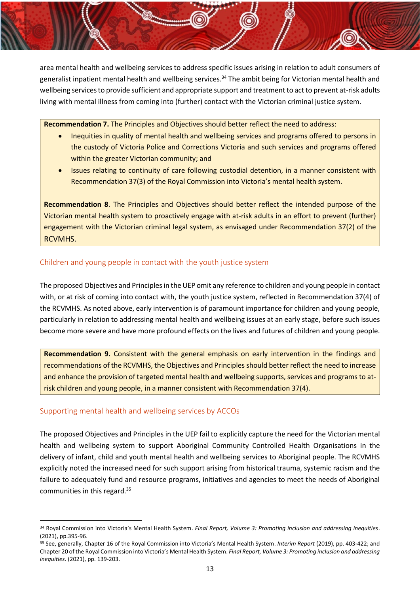area mental health and wellbeing services to address specific issues arising in relation to adult consumers of generalist inpatient mental health and wellbeing services.<sup>34</sup> The ambit being for Victorian mental health and wellbeing services to provide sufficient and appropriate support and treatment to act to prevent at-risk adults living with mental illness from coming into (further) contact with the Victorian criminal justice system.

**Recommendation 7.** The Principles and Objectives should better reflect the need to address:

- Inequities in quality of mental health and wellbeing services and programs offered to persons in the custody of Victoria Police and Corrections Victoria and such services and programs offered within the greater Victorian community; and
- Issues relating to continuity of care following custodial detention, in a manner consistent with Recommendation 37(3) of the Royal Commission into Victoria's mental health system.

**Recommendation 8**. The Principles and Objectives should better reflect the intended purpose of the Victorian mental health system to proactively engage with at-risk adults in an effort to prevent (further) engagement with the Victorian criminal legal system, as envisaged under Recommendation 37(2) of the RCVMHS.

### <span id="page-13-0"></span>Children and young people in contact with the youth justice system

The proposed Objectives and Principles in the UEP omit any reference to children and young people in contact with, or at risk of coming into contact with, the youth justice system, reflected in Recommendation 37(4) of the RCVMHS. As noted above, early intervention is of paramount importance for children and young people, particularly in relation to addressing mental health and wellbeing issues at an early stage, before such issues become more severe and have more profound effects on the lives and futures of children and young people.

**Recommendation 9.** Consistent with the general emphasis on early intervention in the findings and recommendations of the RCVMHS, the Objectives and Principles should better reflect the need to increase and enhance the provision of targeted mental health and wellbeing supports, services and programs to atrisk children and young people, in a manner consistent with Recommendation 37(4).

# <span id="page-13-1"></span>Supporting mental health and wellbeing services by ACCOs

The proposed Objectives and Principles in the UEP fail to explicitly capture the need for the Victorian mental health and wellbeing system to support Aboriginal Community Controlled Health Organisations in the delivery of infant, child and youth mental health and wellbeing services to Aboriginal people. The RCVMHS explicitly noted the increased need for such support arising from historical trauma, systemic racism and the failure to adequately fund and resource programs, initiatives and agencies to meet the needs of Aboriginal communities in this regard.<sup>35</sup>

<sup>34</sup> Royal Commission into Victoria's Mental Health System. *Final Report, Volume 3: Promoting inclusion and addressing inequities*. (2021), pp.395-96.

<sup>35</sup> See, generally, Chapter 16 of the Royal Commission into Victoria's Mental Health System. *Interim Report* (2019), pp. 403-422; and Chapter 20 of the Royal Commission into Victoria's Mental Health System. *Final Report, Volume 3: Promoting inclusion and addressing inequities*. (2021), pp. 139-203.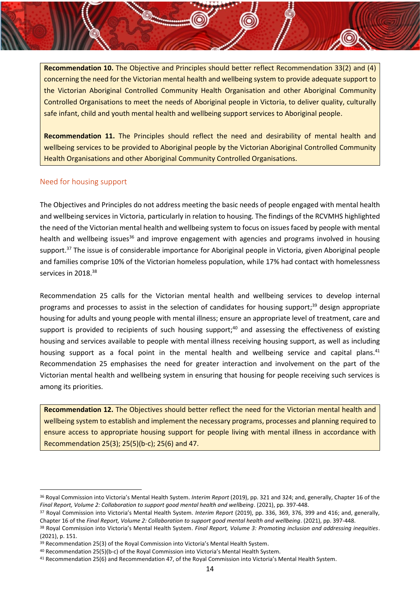**Recommendation 10.** The Objective and Principles should better reflect Recommendation 33(2) and (4) concerning the need for the Victorian mental health and wellbeing system to provide adequate support to the Victorian Aboriginal Controlled Community Health Organisation and other Aboriginal Community Controlled Organisations to meet the needs of Aboriginal people in Victoria, to deliver quality, culturally safe infant, child and youth mental health and wellbeing support services to Aboriginal people.

**Recommendation 11.** The Principles should reflect the need and desirability of mental health and wellbeing services to be provided to Aboriginal people by the Victorian Aboriginal Controlled Community Health Organisations and other Aboriginal Community Controlled Organisations.

### <span id="page-14-0"></span>Need for housing support

The Objectives and Principles do not address meeting the basic needs of people engaged with mental health and wellbeing services in Victoria, particularly in relation to housing. The findings of the RCVMHS highlighted the need of the Victorian mental health and wellbeing system to focus on issues faced by people with mental health and wellbeing issues<sup>36</sup> and improve engagement with agencies and programs involved in housing support.<sup>37</sup> The issue is of considerable importance for Aboriginal people in Victoria, given Aboriginal people and families comprise 10% of the Victorian homeless population, while 17% had contact with homelessness services in 2018.<sup>38</sup>

Recommendation 25 calls for the Victorian mental health and wellbeing services to develop internal programs and processes to assist in the selection of candidates for housing support;<sup>39</sup> design appropriate housing for adults and young people with mental illness; ensure an appropriate level of treatment, care and support is provided to recipients of such housing support;<sup>40</sup> and assessing the effectiveness of existing housing and services available to people with mental illness receiving housing support, as well as including housing support as a focal point in the mental health and wellbeing service and capital plans.<sup>41</sup> Recommendation 25 emphasises the need for greater interaction and involvement on the part of the Victorian mental health and wellbeing system in ensuring that housing for people receiving such services is among its priorities.

**Recommendation 12.** The Objectives should better reflect the need for the Victorian mental health and wellbeing system to establish and implement the necessary programs, processes and planning required to ensure access to appropriate housing support for people living with mental illness in accordance with Recommendation 25(3); 25(5)(b-c); 25(6) and 47.

<sup>36</sup> Royal Commission into Victoria's Mental Health System. *Interim Report* (2019), pp. 321 and 324; and, generally, Chapter 16 of the *Final Report, Volume 2: Collaboration to support good mental health and wellbeing*. (2021), pp. 397-448.

<sup>37</sup> Royal Commission into Victoria's Mental Health System. *Interim Report* (2019), pp. 336, 369, 376, 399 and 416; and, generally, Chapter 16 of the *Final Report, Volume 2: Collaboration to support good mental health and wellbeing*. (2021), pp. 397-448.

<sup>38</sup> Royal Commission into Victoria's Mental Health System. *Final Report, Volume 3: Promoting inclusion and addressing inequities*. (2021), p. 151.

<sup>&</sup>lt;sup>39</sup> Recommendation 25(3) of the Royal Commission into Victoria's Mental Health System.

<sup>40</sup> Recommendation 25(5)(b-c) of the Royal Commission into Victoria's Mental Health System.

<sup>41</sup> Recommendation 25(6) and Recommendation 47, of the Royal Commission into Victoria's Mental Health System.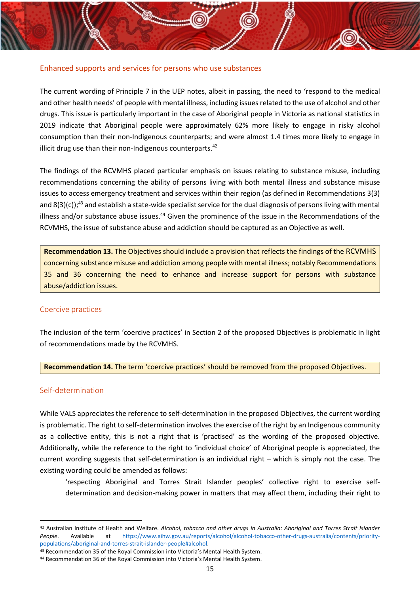#### <span id="page-15-0"></span>Enhanced supports and services for persons who use substances

The current wording of Principle 7 in the UEP notes, albeit in passing, the need to 'respond to the medical and other health needs' of people with mental illness, including issues related to the use of alcohol and other drugs. This issue is particularly important in the case of Aboriginal people in Victoria as national statistics in 2019 indicate that Aboriginal people were approximately 62% more likely to engage in risky alcohol consumption than their non-Indigenous counterparts; and were almost 1.4 times more likely to engage in illicit drug use than their non-Indigenous counterparts. $42$ 

The findings of the RCVMHS placed particular emphasis on issues relating to substance misuse, including recommendations concerning the ability of persons living with both mental illness and substance misuse issues to access emergency treatment and services within their region (as defined in Recommendations 3(3) and  $8(3)(c)$ ;<sup>43</sup> and establish a state-wide specialist service for the dual diagnosis of persons living with mental illness and/or substance abuse issues.<sup>44</sup> Given the prominence of the issue in the Recommendations of the RCVMHS, the issue of substance abuse and addiction should be captured as an Objective as well.

**Recommendation 13.** The Objectives should include a provision that reflects the findings of the RCVMHS concerning substance misuse and addiction among people with mental illness; notably Recommendations 35 and 36 concerning the need to enhance and increase support for persons with substance abuse/addiction issues.

#### <span id="page-15-1"></span>Coercive practices

The inclusion of the term 'coercive practices' in Section 2 of the proposed Objectives is problematic in light of recommendations made by the RCVMHS.

**Recommendation 14.** The term 'coercive practices' should be removed from the proposed Objectives.

#### <span id="page-15-2"></span>Self-determination

While VALS appreciates the reference to self-determination in the proposed Objectives, the current wording is problematic. The right to self-determination involves the exercise of the right by an Indigenous community as a collective entity, this is not a right that is 'practised' as the wording of the proposed objective. Additionally, while the reference to the right to 'individual choice' of Aboriginal people is appreciated, the current wording suggests that self-determination is an individual right – which is simply not the case. The existing wording could be amended as follows:

'respecting Aboriginal and Torres Strait Islander peoples' collective right to exercise selfdetermination and decision-making power in matters that may affect them, including their right to

<sup>42</sup> Australian Institute of Health and Welfare. *Alcohol, tobacco and other drugs in Australia: Aboriginal and Torres Strait Islander People*. Available at [https://www.aihw.gov.au/reports/alcohol/alcohol-tobacco-other-drugs-australia/contents/priority](https://www.aihw.gov.au/reports/alcohol/alcohol-tobacco-other-drugs-australia/contents/priority-populations/aboriginal-and-torres-strait-islander-people%23alcohol)[populations/aboriginal-and-torres-strait-islander-people#alcohol.](https://www.aihw.gov.au/reports/alcohol/alcohol-tobacco-other-drugs-australia/contents/priority-populations/aboriginal-and-torres-strait-islander-people%23alcohol)

<sup>43</sup> Recommendation 35 of the Royal Commission into Victoria's Mental Health System.

<sup>44</sup> Recommendation 36 of the Royal Commission into Victoria's Mental Health System.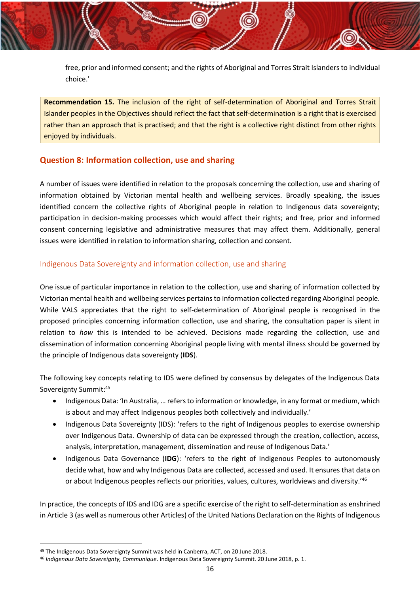free, prior and informed consent; and the rights of Aboriginal and Torres Strait Islanders to individual choice.'

**Recommendation 15.** The inclusion of the right of self-determination of Aboriginal and Torres Strait Islander peoples in the Objectives should reflect the fact that self-determination is a right that is exercised rather than an approach that is practised; and that the right is a collective right distinct from other rights enjoyed by individuals.

# <span id="page-16-0"></span>**Question 8: Information collection, use and sharing**

A number of issues were identified in relation to the proposals concerning the collection, use and sharing of information obtained by Victorian mental health and wellbeing services. Broadly speaking, the issues identified concern the collective rights of Aboriginal people in relation to Indigenous data sovereignty; participation in decision-making processes which would affect their rights; and free, prior and informed consent concerning legislative and administrative measures that may affect them. Additionally, general issues were identified in relation to information sharing, collection and consent.

### <span id="page-16-1"></span>Indigenous Data Sovereignty and information collection, use and sharing

One issue of particular importance in relation to the collection, use and sharing of information collected by Victorian mental health and wellbeing services pertains to information collected regarding Aboriginal people. While VALS appreciates that the right to self-determination of Aboriginal people is recognised in the proposed principles concerning information collection, use and sharing, the consultation paper is silent in relation to *how* this is intended to be achieved. Decisions made regarding the collection, use and dissemination of information concerning Aboriginal people living with mental illness should be governed by the principle of Indigenous data sovereignty (**IDS**).

The following key concepts relating to IDS were defined by consensus by delegates of the Indigenous Data Sovereignty Summit:<sup>45</sup>

- Indigenous Data: 'In Australia, … refers to information or knowledge, in any format or medium, which is about and may affect Indigenous peoples both collectively and individually.'
- Indigenous Data Sovereignty (IDS): 'refers to the right of Indigenous peoples to exercise ownership over Indigenous Data. Ownership of data can be expressed through the creation, collection, access, analysis, interpretation, management, dissemination and reuse of Indigenous Data.'
- Indigenous Data Governance (**IDG**): 'refers to the right of Indigenous Peoples to autonomously decide what, how and why Indigenous Data are collected, accessed and used. It ensures that data on or about Indigenous peoples reflects our priorities, values, cultures, worldviews and diversity.'<sup>46</sup>

In practice, the concepts of IDS and IDG are a specific exercise of the right to self-determination as enshrined in Article 3 (as well as numerous other Articles) of the United Nations Declaration on the Rights of Indigenous

<sup>45</sup> The Indigenous Data Sovereignty Summit was held in Canberra, ACT, on 20 June 2018.

<sup>46</sup> *Indigenous Data Sovereignty, Communique*. Indigenous Data Sovereignty Summit. 20 June 2018, p. 1.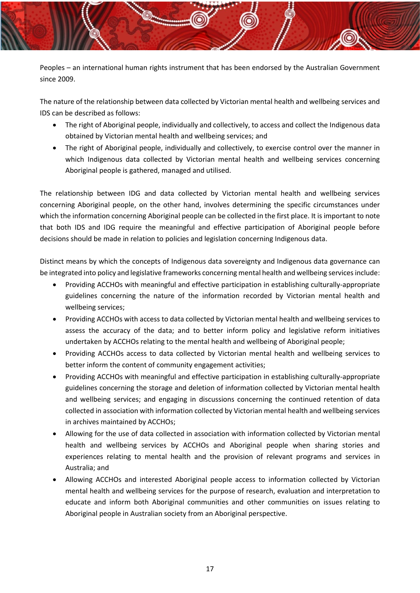Peoples – an international human rights instrument that has been endorsed by the Australian Government since 2009.

The nature of the relationship between data collected by Victorian mental health and wellbeing services and IDS can be described as follows:

- The right of Aboriginal people, individually and collectively, to access and collect the Indigenous data obtained by Victorian mental health and wellbeing services; and
- The right of Aboriginal people, individually and collectively, to exercise control over the manner in which Indigenous data collected by Victorian mental health and wellbeing services concerning Aboriginal people is gathered, managed and utilised.

The relationship between IDG and data collected by Victorian mental health and wellbeing services concerning Aboriginal people, on the other hand, involves determining the specific circumstances under which the information concerning Aboriginal people can be collected in the first place. It is important to note that both IDS and IDG require the meaningful and effective participation of Aboriginal people before decisions should be made in relation to policies and legislation concerning Indigenous data.

Distinct means by which the concepts of Indigenous data sovereignty and Indigenous data governance can be integrated into policy and legislative frameworks concerning mental health and wellbeing services include:

- Providing ACCHOs with meaningful and effective participation in establishing culturally-appropriate guidelines concerning the nature of the information recorded by Victorian mental health and wellbeing services;
- Providing ACCHOs with access to data collected by Victorian mental health and wellbeing services to assess the accuracy of the data; and to better inform policy and legislative reform initiatives undertaken by ACCHOs relating to the mental health and wellbeing of Aboriginal people;
- Providing ACCHOs access to data collected by Victorian mental health and wellbeing services to better inform the content of community engagement activities;
- Providing ACCHOs with meaningful and effective participation in establishing culturally-appropriate guidelines concerning the storage and deletion of information collected by Victorian mental health and wellbeing services; and engaging in discussions concerning the continued retention of data collected in association with information collected by Victorian mental health and wellbeing services in archives maintained by ACCHOs;
- Allowing for the use of data collected in association with information collected by Victorian mental health and wellbeing services by ACCHOs and Aboriginal people when sharing stories and experiences relating to mental health and the provision of relevant programs and services in Australia; and
- Allowing ACCHOs and interested Aboriginal people access to information collected by Victorian mental health and wellbeing services for the purpose of research, evaluation and interpretation to educate and inform both Aboriginal communities and other communities on issues relating to Aboriginal people in Australian society from an Aboriginal perspective.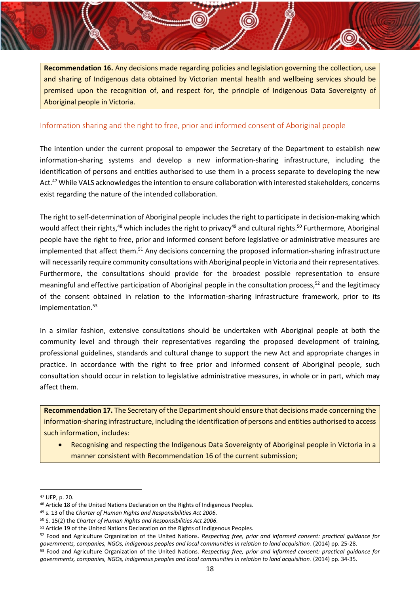**Recommendation 16.** Any decisions made regarding policies and legislation governing the collection, use and sharing of Indigenous data obtained by Victorian mental health and wellbeing services should be premised upon the recognition of, and respect for, the principle of Indigenous Data Sovereignty of Aboriginal people in Victoria.

### <span id="page-18-0"></span>Information sharing and the right to free, prior and informed consent of Aboriginal people

The intention under the current proposal to empower the Secretary of the Department to establish new information-sharing systems and develop a new information-sharing infrastructure, including the identification of persons and entities authorised to use them in a process separate to developing the new Act.<sup>47</sup> While VALS acknowledges the intention to ensure collaboration with interested stakeholders, concerns exist regarding the nature of the intended collaboration.

The right to self-determination of Aboriginal people includes the right to participate in decision-making which would affect their rights,<sup>48</sup> which includes the right to privacy<sup>49</sup> and cultural rights.<sup>50</sup> Furthermore, Aboriginal people have the right to free, prior and informed consent before legislative or administrative measures are implemented that affect them.<sup>51</sup> Any decisions concerning the proposed information-sharing infrastructure will necessarily require community consultations with Aboriginal people in Victoria and their representatives. Furthermore, the consultations should provide for the broadest possible representation to ensure meaningful and effective participation of Aboriginal people in the consultation process, <sup>52</sup> and the legitimacy of the consent obtained in relation to the information-sharing infrastructure framework, prior to its implementation.<sup>53</sup>

In a similar fashion, extensive consultations should be undertaken with Aboriginal people at both the community level and through their representatives regarding the proposed development of training, professional guidelines, standards and cultural change to support the new Act and appropriate changes in practice. In accordance with the right to free prior and informed consent of Aboriginal people, such consultation should occur in relation to legislative administrative measures, in whole or in part, which may affect them.

**Recommendation 17.** The Secretary of the Department should ensure that decisions made concerning the information-sharing infrastructure, including the identification of persons and entities authorised to access such information, includes:

• Recognising and respecting the Indigenous Data Sovereignty of Aboriginal people in Victoria in a manner consistent with Recommendation 16 of the current submission;

<sup>47</sup> UEP, p. 20.

<sup>48</sup> Article 18 of the United Nations Declaration on the Rights of Indigenous Peoples.

<sup>49</sup> s. 13 of the *Charter of Human Rights and Responsibilities Act 2006.*

<sup>50</sup> S. 15(2) the *Charter of Human Rights and Responsibilities Act 2006.*

<sup>51</sup> Article 19 of the United Nations Declaration on the Rights of Indigenous Peoples.

<sup>52</sup> Food and Agriculture Organization of the United Nations. *Respecting free, prior and informed consent: practical guidance for governments, companies, NGOs, indigenous peoples and local communities in relation to land acquisition*. (2014) pp. 25-28. <sup>53</sup> Food and Agriculture Organization of the United Nations. *Respecting free, prior and informed consent: practical guidance for governments, companies, NGOs, indigenous peoples and local communities in relation to land acquisition*. (2014) pp. 34-35.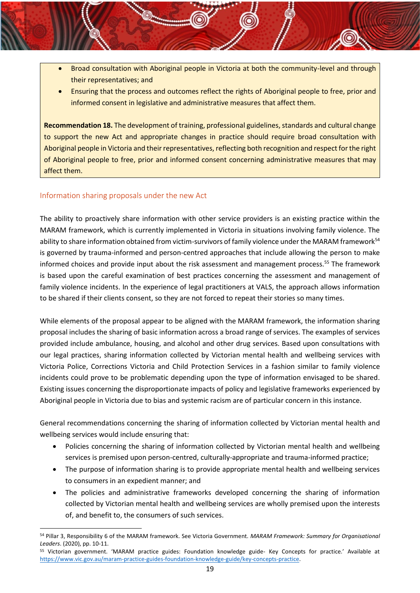- Broad consultation with Aboriginal people in Victoria at both the community-level and through their representatives; and
- Ensuring that the process and outcomes reflect the rights of Aboriginal people to free, prior and informed consent in legislative and administrative measures that affect them.

**Recommendation 18.** The development of training, professional guidelines, standards and cultural change to support the new Act and appropriate changes in practice should require broad consultation with Aboriginal people in Victoria and their representatives, reflecting both recognition and respect for the right of Aboriginal people to free, prior and informed consent concerning administrative measures that may affect them.

# <span id="page-19-0"></span>Information sharing proposals under the new Act

The ability to proactively share information with other service providers is an existing practice within the MARAM framework, which is currently implemented in Victoria in situations involving family violence. The ability to share information obtained from victim-survivors of family violence under the MARAM framework<sup>54</sup> is governed by trauma-informed and person-centred approaches that include allowing the person to make informed choices and provide input about the risk assessment and management process.<sup>55</sup> The framework is based upon the careful examination of best practices concerning the assessment and management of family violence incidents. In the experience of legal practitioners at VALS, the approach allows information to be shared if their clients consent, so they are not forced to repeat their stories so many times.

While elements of the proposal appear to be aligned with the MARAM framework, the information sharing proposal includes the sharing of basic information across a broad range of services. The examples of services provided include ambulance, housing, and alcohol and other drug services. Based upon consultations with our legal practices, sharing information collected by Victorian mental health and wellbeing services with Victoria Police, Corrections Victoria and Child Protection Services in a fashion similar to family violence incidents could prove to be problematic depending upon the type of information envisaged to be shared. Existing issues concerning the disproportionate impacts of policy and legislative frameworks experienced by Aboriginal people in Victoria due to bias and systemic racism are of particular concern in this instance.

General recommendations concerning the sharing of information collected by Victorian mental health and wellbeing services would include ensuring that:

- Policies concerning the sharing of information collected by Victorian mental health and wellbeing services is premised upon person-centred, culturally-appropriate and trauma-informed practice;
- The purpose of information sharing is to provide appropriate mental health and wellbeing services to consumers in an expedient manner; and
- The policies and administrative frameworks developed concerning the sharing of information collected by Victorian mental health and wellbeing services are wholly premised upon the interests of, and benefit to, the consumers of such services.

<sup>54</sup> Pillar 3, Responsibility 6 of the MARAM framework. See Victoria Government. *MARAM Framework: Summary for Organisational Leaders*. (2020), pp. 10-11.

<sup>55</sup> Victorian government. 'MARAM practice guides: Foundation knowledge guide- Key Concepts for practice.' Available at [https://www.vic.gov.au/maram-practice-guides-foundation-knowledge-guide/key-concepts-practice.](https://www.vic.gov.au/maram-practice-guides-foundation-knowledge-guide/key-concepts-practice)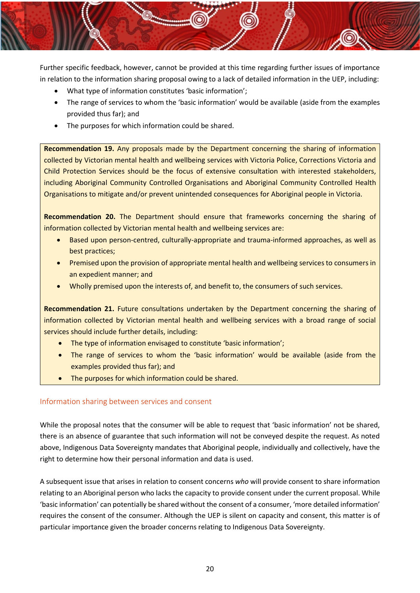Further specific feedback, however, cannot be provided at this time regarding further issues of importance in relation to the information sharing proposal owing to a lack of detailed information in the UEP, including:

- What type of information constitutes 'basic information';
- The range of services to whom the 'basic information' would be available (aside from the examples provided thus far); and
- The purposes for which information could be shared.

**Recommendation 19.** Any proposals made by the Department concerning the sharing of information collected by Victorian mental health and wellbeing services with Victoria Police, Corrections Victoria and Child Protection Services should be the focus of extensive consultation with interested stakeholders, including Aboriginal Community Controlled Organisations and Aboriginal Community Controlled Health Organisations to mitigate and/or prevent unintended consequences for Aboriginal people in Victoria.

**Recommendation 20.** The Department should ensure that frameworks concerning the sharing of information collected by Victorian mental health and wellbeing services are:

- Based upon person-centred, culturally-appropriate and trauma-informed approaches, as well as best practices;
- Premised upon the provision of appropriate mental health and wellbeing services to consumers in an expedient manner; and
- Wholly premised upon the interests of, and benefit to, the consumers of such services.

**Recommendation 21.** Future consultations undertaken by the Department concerning the sharing of information collected by Victorian mental health and wellbeing services with a broad range of social services should include further details, including:

- The type of information envisaged to constitute 'basic information';
- The range of services to whom the 'basic information' would be available (aside from the examples provided thus far); and
- The purposes for which information could be shared.

### <span id="page-20-0"></span>Information sharing between services and consent

While the proposal notes that the consumer will be able to request that 'basic information' not be shared, there is an absence of guarantee that such information will not be conveyed despite the request. As noted above, Indigenous Data Sovereignty mandates that Aboriginal people, individually and collectively, have the right to determine how their personal information and data is used.

A subsequent issue that arises in relation to consent concerns *who* will provide consent to share information relating to an Aboriginal person who lacks the capacity to provide consent under the current proposal. While 'basic information' can potentially be shared without the consent of a consumer, 'more detailed information' requires the consent of the consumer. Although the UEP is silent on capacity and consent, this matter is of particular importance given the broader concerns relating to Indigenous Data Sovereignty.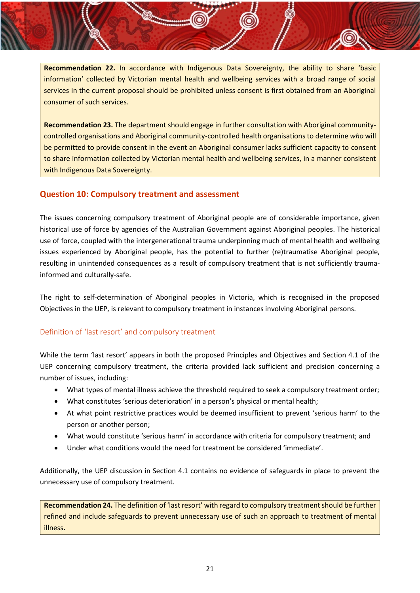**Recommendation 22.** In accordance with Indigenous Data Sovereignty, the ability to share 'basic information' collected by Victorian mental health and wellbeing services with a broad range of social services in the current proposal should be prohibited unless consent is first obtained from an Aboriginal consumer of such services.

**Recommendation 23.** The department should engage in further consultation with Aboriginal communitycontrolled organisations and Aboriginal community-controlled health organisations to determine *who* will be permitted to provide consent in the event an Aboriginal consumer lacks sufficient capacity to consent to share information collected by Victorian mental health and wellbeing services, in a manner consistent with Indigenous Data Sovereignty.

# <span id="page-21-0"></span>**Question 10: Compulsory treatment and assessment**

The issues concerning compulsory treatment of Aboriginal people are of considerable importance, given historical use of force by agencies of the Australian Government against Aboriginal peoples. The historical use of force, coupled with the intergenerational trauma underpinning much of mental health and wellbeing issues experienced by Aboriginal people, has the potential to further (re)traumatise Aboriginal people, resulting in unintended consequences as a result of compulsory treatment that is not sufficiently traumainformed and culturally-safe.

The right to self-determination of Aboriginal peoples in Victoria, which is recognised in the proposed Objectives in the UEP, is relevant to compulsory treatment in instances involving Aboriginal persons.

# <span id="page-21-1"></span>Definition of 'last resort' and compulsory treatment

While the term 'last resort' appears in both the proposed Principles and Objectives and Section 4.1 of the UEP concerning compulsory treatment, the criteria provided lack sufficient and precision concerning a number of issues, including:

- What types of mental illness achieve the threshold required to seek a compulsory treatment order;
- What constitutes 'serious deterioration' in a person's physical or mental health;
- At what point restrictive practices would be deemed insufficient to prevent 'serious harm' to the person or another person;
- What would constitute 'serious harm' in accordance with criteria for compulsory treatment; and
- Under what conditions would the need for treatment be considered 'immediate'.

Additionally, the UEP discussion in Section 4.1 contains no evidence of safeguards in place to prevent the unnecessary use of compulsory treatment.

**Recommendation 24.** The definition of 'last resort' with regard to compulsory treatment should be further refined and include safeguards to prevent unnecessary use of such an approach to treatment of mental illness**.**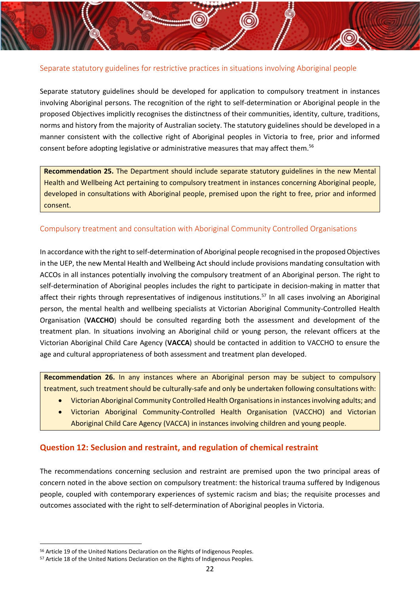### <span id="page-22-0"></span>Separate statutory guidelines for restrictive practices in situations involving Aboriginal people

Separate statutory guidelines should be developed for application to compulsory treatment in instances involving Aboriginal persons. The recognition of the right to self-determination or Aboriginal people in the proposed Objectives implicitly recognises the distinctness of their communities, identity, culture, traditions, norms and history from the majority of Australian society. The statutory guidelines should be developed in a manner consistent with the collective right of Aboriginal peoples in Victoria to free, prior and informed consent before adopting legislative or administrative measures that may affect them.<sup>56</sup>

**Recommendation 25.** The Department should include separate statutory guidelines in the new Mental Health and Wellbeing Act pertaining to compulsory treatment in instances concerning Aboriginal people, developed in consultations with Aboriginal people, premised upon the right to free, prior and informed consent.

### <span id="page-22-1"></span>Compulsory treatment and consultation with Aboriginal Community Controlled Organisations

In accordance with the right to self-determination of Aboriginal people recognised in the proposed Objectives in the UEP, the new Mental Health and Wellbeing Act should include provisions mandating consultation with ACCOs in all instances potentially involving the compulsory treatment of an Aboriginal person. The right to self-determination of Aboriginal peoples includes the right to participate in decision-making in matter that affect their rights through representatives of indigenous institutions.<sup>57</sup> In all cases involving an Aboriginal person, the mental health and wellbeing specialists at Victorian Aboriginal Community-Controlled Health Organisation (**VACCHO**) should be consulted regarding both the assessment and development of the treatment plan. In situations involving an Aboriginal child or young person, the relevant officers at the Victorian Aboriginal Child Care Agency (**VACCA**) should be contacted in addition to VACCHO to ensure the age and cultural appropriateness of both assessment and treatment plan developed.

**Recommendation 26.** In any instances where an Aboriginal person may be subject to compulsory treatment, such treatment should be culturally-safe and only be undertaken following consultations with:

- Victorian Aboriginal Community Controlled Health Organisations in instances involving adults; and
- Victorian Aboriginal Community-Controlled Health Organisation (VACCHO) and Victorian Aboriginal Child Care Agency (VACCA) in instances involving children and young people.

# <span id="page-22-2"></span>**Question 12: Seclusion and restraint, and regulation of chemical restraint**

The recommendations concerning seclusion and restraint are premised upon the two principal areas of concern noted in the above section on compulsory treatment: the historical trauma suffered by Indigenous people, coupled with contemporary experiences of systemic racism and bias; the requisite processes and outcomes associated with the right to self-determination of Aboriginal peoples in Victoria.

<sup>56</sup> Article 19 of the United Nations Declaration on the Rights of Indigenous Peoples.

<sup>57</sup> Article 18 of the United Nations Declaration on the Rights of Indigenous Peoples.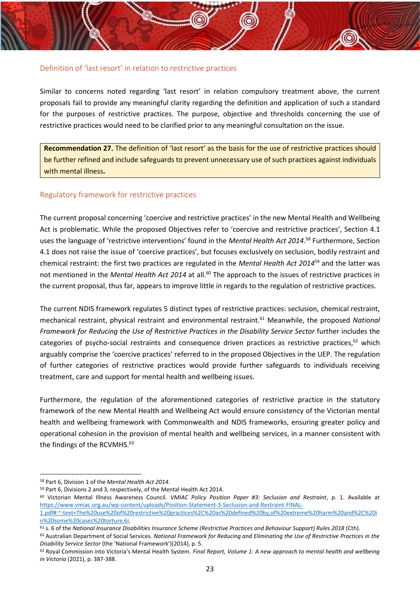### <span id="page-23-0"></span>Definition of 'last resort' in relation to restrictive practices

Similar to concerns noted regarding 'last resort' in relation compulsory treatment above, the current proposals fail to provide any meaningful clarity regarding the definition and application of such a standard for the purposes of restrictive practices. The purpose, objective and thresholds concerning the use of restrictive practices would need to be clarified prior to any meaningful consultation on the issue.

**Recommendation 27.** The definition of 'last resort' as the basis for the use of restrictive practices should be further refined and include safeguards to prevent unnecessary use of such practices against individuals with mental illness**.**

### <span id="page-23-1"></span>Regulatory framework for restrictive practices

The current proposal concerning 'coercive and restrictive practices' in the new Mental Health and Wellbeing Act is problematic. While the proposed Objectives refer to 'coercive and restrictive practices', Section 4.1 uses the language of 'restrictive interventions' found in the *Mental Health Act 2014*. <sup>58</sup> Furthermore, Section 4.1 does not raise the issue of 'coercive practices', but focuses exclusively on seclusion, bodily restraint and chemical restraint: the first two practices are regulated in the *Mental Health Act 2014*<sup>59</sup> and the latter was not mentioned in the *Mental Health Act 2014* at all.<sup>60</sup> The approach to the issues of restrictive practices in the current proposal, thus far, appears to improve little in regards to the regulation of restrictive practices.

The current NDIS framework regulates 5 distinct types of restrictive practices: seclusion, chemical restraint, mechanical restraint, physical restraint and environmental restraint.<sup>61</sup> Meanwhile, the proposed *National Framework for Reducing the Use of Restrictive Practices in the Disability Service Sector* further includes the categories of psycho-social restraints and consequence driven practices as restrictive practices, $62$  which arguably comprise the 'coercive practices' referred to in the proposed Objectives in the UEP. The regulation of further categories of restrictive practices would provide further safeguards to individuals receiving treatment, care and support for mental health and wellbeing issues.

Furthermore, the regulation of the aforementioned categories of restrictive practice in the statutory framework of the new Mental Health and Wellbeing Act would ensure consistency of the Victorian mental health and wellbeing framework with Commonwealth and NDIS frameworks, ensuring greater policy and operational cohesion in the provision of mental health and wellbeing services, in a manner consistent with the findings of the RCVMHS.<sup>63</sup>

<sup>58</sup> Part 6, Division 1 of the *Mental Health Act 2014*.

<sup>59</sup> Part 6, Divisions 2 and 3, respectively, of the Mental Health Act 2014.

<sup>60</sup> Victorian Mental Illness Awareness Council. *VMIAC Policy Position Paper #3: Seclusion and Restraint*, p. 1. Available at [https://www.vmiac.org.au/wp-content/uploads/Position-Statement-3-Seclusion-and-Restraint-FINAL-](https://www.vmiac.org.au/wp-content/uploads/Position-Statement-3-Seclusion-and-Restraint-FINAL-1.pdf%23:~:text=The%20use%20of%20restrictive%20practices%2C%20as%20defined%20by,of%20extreme%20harm%20and%2C%20in%20some%20cases%20torture.6i)[1.pdf#:~:text=The%20use%20of%20restrictive%20practices%2C%20as%20defined%20by,of%20extreme%20harm%20and%2C%20i](https://www.vmiac.org.au/wp-content/uploads/Position-Statement-3-Seclusion-and-Restraint-FINAL-1.pdf%23:~:text=The%20use%20of%20restrictive%20practices%2C%20as%20defined%20by,of%20extreme%20harm%20and%2C%20in%20some%20cases%20torture.6i)

[n%20some%20cases%20torture.6i.](https://www.vmiac.org.au/wp-content/uploads/Position-Statement-3-Seclusion-and-Restraint-FINAL-1.pdf%23:~:text=The%20use%20of%20restrictive%20practices%2C%20as%20defined%20by,of%20extreme%20harm%20and%2C%20in%20some%20cases%20torture.6i)

<sup>61</sup> s. 6 of the *National Insurance Disabilities Insurance Scheme (Restrictive Practices and Behaviour Support) Rules 2018* (Cth).

<sup>62</sup> Australian Department of Social Services*. National Framework for Reducing and Eliminating the Use of Restrictive Practices in the Disability Service Sector* (the 'National Framework')(2014), p. 5.

<sup>63</sup> Royal Commission into Victoria's Mental Health System. *Final Report, Volume 1: A new approach to mental health and wellbeing in Victoria* (2021), p. 387-388.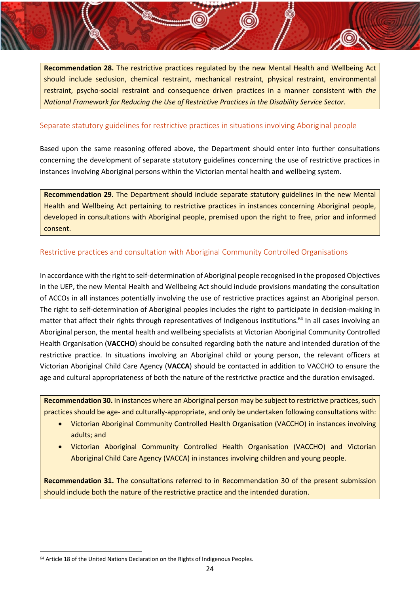**Recommendation 28.** The restrictive practices regulated by the new Mental Health and Wellbeing Act should include seclusion, chemical restraint, mechanical restraint, physical restraint, environmental restraint, psycho-social restraint and consequence driven practices in a manner consistent with *the National Framework for Reducing the Use of Restrictive Practices in the Disability Service Sector.*

### <span id="page-24-0"></span>Separate statutory guidelines for restrictive practices in situations involving Aboriginal people

Based upon the same reasoning offered above, the Department should enter into further consultations concerning the development of separate statutory guidelines concerning the use of restrictive practices in instances involving Aboriginal persons within the Victorian mental health and wellbeing system.

**Recommendation 29.** The Department should include separate statutory guidelines in the new Mental Health and Wellbeing Act pertaining to restrictive practices in instances concerning Aboriginal people, developed in consultations with Aboriginal people, premised upon the right to free, prior and informed consent.

### <span id="page-24-1"></span>Restrictive practices and consultation with Aboriginal Community Controlled Organisations

In accordance with the right to self-determination of Aboriginal people recognised in the proposed Objectives in the UEP, the new Mental Health and Wellbeing Act should include provisions mandating the consultation of ACCOs in all instances potentially involving the use of restrictive practices against an Aboriginal person. The right to self-determination of Aboriginal peoples includes the right to participate in decision-making in matter that affect their rights through representatives of Indigenous institutions.<sup>64</sup> In all cases involving an Aboriginal person, the mental health and wellbeing specialists at Victorian Aboriginal Community Controlled Health Organisation (**VACCHO**) should be consulted regarding both the nature and intended duration of the restrictive practice. In situations involving an Aboriginal child or young person, the relevant officers at Victorian Aboriginal Child Care Agency (**VACCA**) should be contacted in addition to VACCHO to ensure the age and cultural appropriateness of both the nature of the restrictive practice and the duration envisaged.

**Recommendation 30.** In instances where an Aboriginal person may be subject to restrictive practices, such practices should be age- and culturally-appropriate, and only be undertaken following consultations with:

- Victorian Aboriginal Community Controlled Health Organisation (VACCHO) in instances involving adults; and
- Victorian Aboriginal Community Controlled Health Organisation (VACCHO) and Victorian Aboriginal Child Care Agency (VACCA) in instances involving children and young people.

**Recommendation 31.** The consultations referred to in Recommendation 30 of the present submission should include both the nature of the restrictive practice and the intended duration.

<sup>&</sup>lt;sup>64</sup> Article 18 of the United Nations Declaration on the Rights of Indigenous Peoples.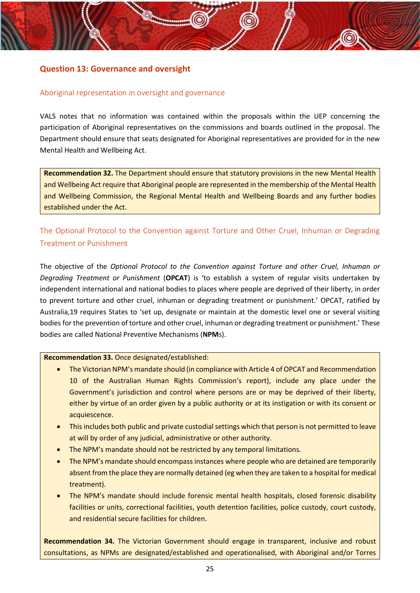# <span id="page-25-0"></span>**Question 13: Governance and oversight**

### <span id="page-25-1"></span>Aboriginal representation in oversight and governance

VALS notes that no information was contained within the proposals within the UEP concerning the participation of Aboriginal representatives on the commissions and boards outlined in the proposal. The Department should ensure that seats designated for Aboriginal representatives are provided for in the new Mental Health and Wellbeing Act.

**Recommendation 32.** The Department should ensure that statutory provisions in the new Mental Health and Wellbeing Act require that Aboriginal people are represented in the membership of the Mental Health and Wellbeing Commission, the Regional Mental Health and Wellbeing Boards and any further bodies established under the Act.

<span id="page-25-2"></span>The Optional Protocol to the Convention against Torture and Other Cruel, Inhuman or Degrading Treatment or Punishment

The objective of the *Optional Protocol to the Convention against Torture and other Cruel, Inhuman or Degrading Treatment or Punishment* (**OPCAT**) is 'to establish a system of regular visits undertaken by independent international and national bodies to places where people are deprived of their liberty, in order to prevent torture and other cruel, inhuman or degrading treatment or punishment.' OPCAT, ratified by Australia,19 requires States to 'set up, designate or maintain at the domestic level one or several visiting bodies for the prevention of torture and other cruel, inhuman or degrading treatment or punishment.' These bodies are called National Preventive Mechanisms (**NPM**s).

#### **Recommendation 33.** Once designated/established:

- The Victorian NPM's mandate should (in compliance with Article 4 of OPCAT and Recommendation 10 of the Australian Human Rights Commission's report), include any place under the Government's jurisdiction and control where persons are or may be deprived of their liberty, either by virtue of an order given by a public authority or at its instigation or with its consent or acquiescence.
- This includes both public and private custodial settings which that person is not permitted to leave at will by order of any judicial, administrative or other authority.
- The NPM's mandate should not be restricted by any temporal limitations.
- The NPM's mandate should encompass instances where people who are detained are temporarily absent from the place they are normally detained (eg when they are taken to a hospital for medical treatment).
- The NPM's mandate should include forensic mental health hospitals, closed forensic disability facilities or units, correctional facilities, youth detention facilities, police custody, court custody, and residential secure facilities for children.

**Recommendation 34.** The Victorian Government should engage in transparent, inclusive and robust consultations, as NPMs are designated/established and operationalised, with Aboriginal and/or Torres